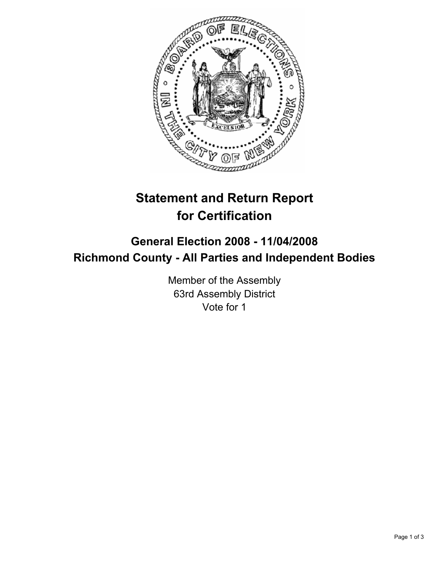

# **Statement and Return Report for Certification**

## **General Election 2008 - 11/04/2008 Richmond County - All Parties and Independent Bodies**

Member of the Assembly 63rd Assembly District Vote for 1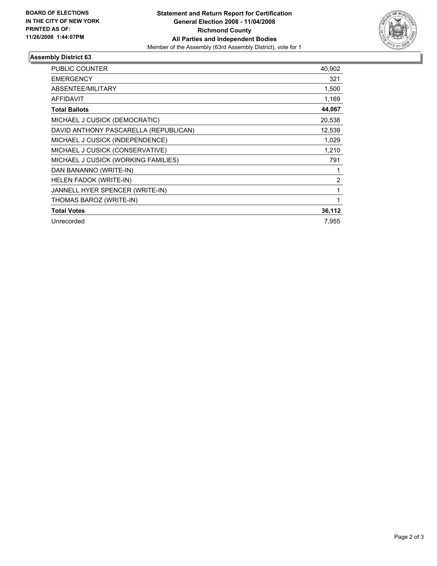

### **Assembly District 63**

| PUBLIC COUNTER                        | 40,902 |
|---------------------------------------|--------|
|                                       |        |
| <b>EMERGENCY</b>                      | 321    |
| ABSENTEE/MILITARY                     | 1,500  |
| <b>AFFIDAVIT</b>                      | 1,169  |
| <b>Total Ballots</b>                  | 44,067 |
| MICHAEL J CUSICK (DEMOCRATIC)         | 20,538 |
| DAVID ANTHONY PASCARELLA (REPUBLICAN) | 12,539 |
| MICHAEL J CUSICK (INDEPENDENCE)       | 1,029  |
| MICHAEL J CUSICK (CONSERVATIVE)       | 1,210  |
| MICHAEL J CUSICK (WORKING FAMILIES)   | 791    |
| DAN BANANNO (WRITE-IN)                |        |
| <b>HELEN FADOK (WRITE-IN)</b>         | 2      |
| JANNELL HYER SPENCER (WRITE-IN)       |        |
| THOMAS BAROZ (WRITE-IN)               |        |
| <b>Total Votes</b>                    | 36,112 |
| Unrecorded                            | 7.955  |